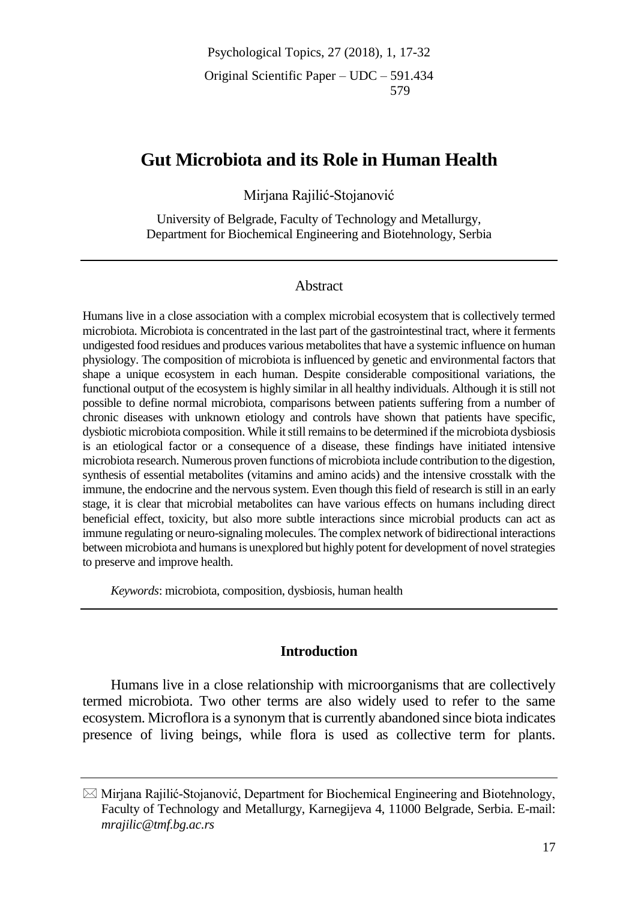Psychological Topics, 27 (2018), 1, 17-32 Original Scientific Paper – UDC – 591.434 579

# **Gut Microbiota and its Role in Human Health**

Mirjana Rajilić-Stojanović

University of Belgrade, Faculty of Technology and Metallurgy, Department for Biochemical Engineering and Biotehnology, Serbia

## Abstract

Humans live in a close association with a complex microbial ecosystem that is collectively termed microbiota. Microbiota is concentrated in the last part of the gastrointestinal tract, where it ferments undigested food residues and produces various metabolites that have a systemic influence on human physiology. The composition of microbiota is influenced by genetic and environmental factors that shape a unique ecosystem in each human. Despite considerable compositional variations, the functional output of the ecosystem is highly similar in all healthy individuals. Although it is still not possible to define normal microbiota, comparisons between patients suffering from a number of chronic diseases with unknown etiology and controls have shown that patients have specific, dysbiotic microbiota composition. While it still remains to be determined if the microbiota dysbiosis is an etiological factor or a consequence of a disease, these findings have initiated intensive microbiota research. Numerous proven functions of microbiota include contribution to the digestion, synthesis of essential metabolites (vitamins and amino acids) and the intensive crosstalk with the immune, the endocrine and the nervous system. Even though this field of research is still in an early stage, it is clear that microbial metabolites can have various effects on humans including direct beneficial effect, toxicity, but also more subtle interactions since microbial products can act as immune regulating or neuro-signaling molecules. The complex network of bidirectional interactions between microbiota and humans is unexplored but highly potent for development of novel strategies to preserve and improve health.

*Keywords*: microbiota, composition, dysbiosis, human health

## **Introduction**

Humans live in a close relationship with microorganisms that are collectively termed microbiota. Two other terms are also widely used to refer to the same ecosystem. Microflora is a synonym that is currently abandoned since biota indicates presence of living beings, while flora is used as collective term for plants.

 $\boxtimes$  Mirjana Rajilić-Stojanović, Department for Biochemical Engineering and Biotehnology, Faculty of Technology and Metallurgy, Karnegijeva 4, 11000 Belgrade, Serbia. E-mail: *mrajilic@tmf.bg.ac.rs*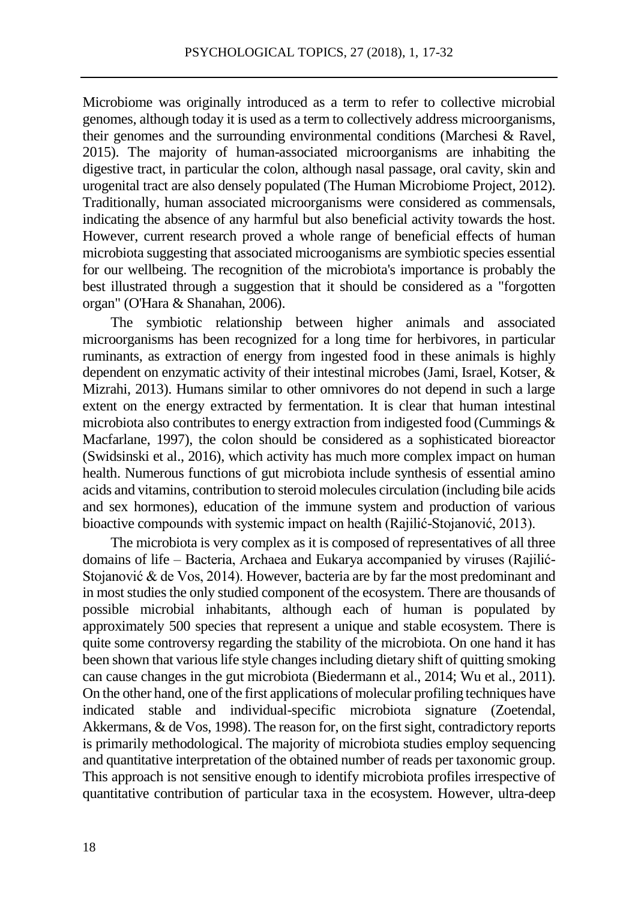Microbiome was originally introduced as a term to refer to collective microbial genomes, although today it is used as a term to collectively address microorganisms, their genomes and the surrounding environmental conditions (Marchesi  $\&$  Ravel, 2015). The majority of human-associated microorganisms are inhabiting the digestive tract, in particular the colon, although nasal passage, oral cavity, skin and urogenital tract are also densely populated (The Human Microbiome Project, 2012). Traditionally, human associated microorganisms were considered as commensals, indicating the absence of any harmful but also beneficial activity towards the host. However, current research proved a whole range of beneficial effects of human microbiota suggesting that associated microoganisms are symbiotic species essential for our wellbeing. The recognition of the microbiota's importance is probably the best illustrated through a suggestion that it should be considered as a "forgotten organ" (O'Hara & Shanahan, 2006).

The symbiotic relationship between higher animals and associated microorganisms has been recognized for a long time for herbivores, in particular ruminants, as extraction of energy from ingested food in these animals is highly dependent on enzymatic activity of their intestinal microbes (Jami, Israel, Kotser, & Mizrahi, 2013). Humans similar to other omnivores do not depend in such a large extent on the energy extracted by fermentation. It is clear that human intestinal microbiota also contributes to energy extraction from indigested food (Cummings & Macfarlane, 1997), the colon should be considered as a sophisticated bioreactor (Swidsinski et al., 2016), which activity has much more complex impact on human health. Numerous functions of gut microbiota include synthesis of essential amino acids and vitamins, contribution to steroid molecules circulation (including bile acids and sex hormones), education of the immune system and production of various bioactive compounds with systemic impact on health (Rajilić-Stojanović, 2013).

The microbiota is very complex as it is composed of representatives of all three domains of life – Bacteria, Archaea and Eukarya accompanied by viruses (Rajilić-Stojanović & de Vos, 2014). However, bacteria are by far the most predominant and in most studies the only studied component of the ecosystem. There are thousands of possible microbial inhabitants, although each of human is populated by approximately 500 species that represent a unique and stable ecosystem. There is quite some controversy regarding the stability of the microbiota. On one hand it has been shown that various life style changes including dietary shift of quitting smoking can cause changes in the gut microbiota (Biedermann et al., 2014; Wu et al., 2011). On the other hand, one of the first applications of molecular profiling techniques have indicated stable and individual-specific microbiota signature (Zoetendal, Akkermans, & de Vos, 1998). The reason for, on the first sight, contradictory reports is primarily methodological. The majority of microbiota studies employ sequencing and quantitative interpretation of the obtained number of reads per taxonomic group. This approach is not sensitive enough to identify microbiota profiles irrespective of quantitative contribution of particular taxa in the ecosystem. However, ultra-deep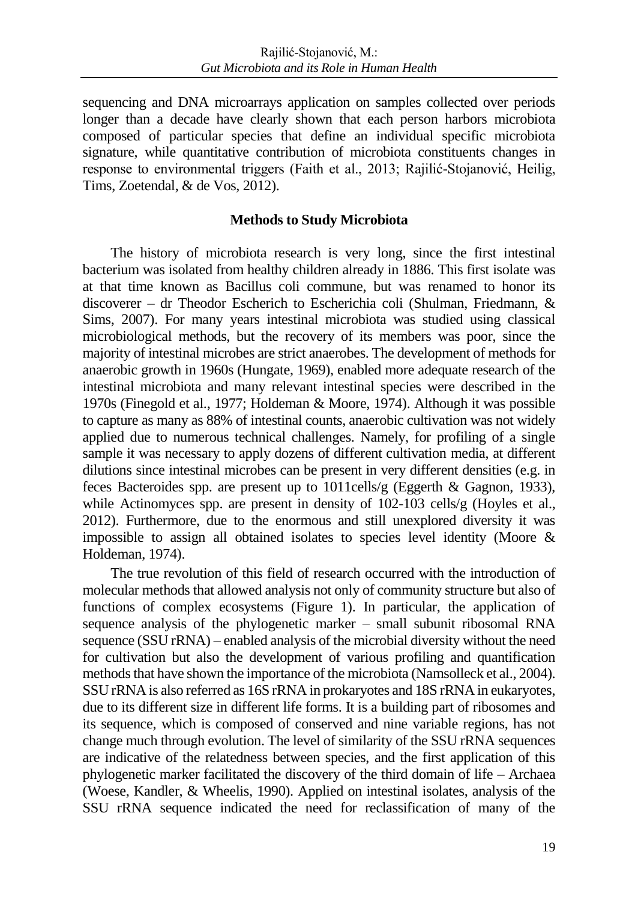sequencing and DNA microarrays application on samples collected over periods longer than a decade have clearly shown that each person harbors microbiota composed of particular species that define an individual specific microbiota signature, while quantitative contribution of microbiota constituents changes in response to environmental triggers (Faith et al., 2013; Rajilić-Stojanović, Heilig, Tims, Zoetendal, & de Vos, 2012).

### **Methods to Study Microbiota**

The history of microbiota research is very long, since the first intestinal bacterium was isolated from healthy children already in 1886. This first isolate was at that time known as Bacillus coli commune, but was renamed to honor its discoverer – dr Theodor Escherich to Escherichia coli (Shulman, Friedmann, & Sims, 2007). For many years intestinal microbiota was studied using classical microbiological methods, but the recovery of its members was poor, since the majority of intestinal microbes are strict anaerobes. The development of methods for anaerobic growth in 1960s (Hungate, 1969), enabled more adequate research of the intestinal microbiota and many relevant intestinal species were described in the 1970s (Finegold et al., 1977; Holdeman & Moore, 1974). Although it was possible to capture as many as 88% of intestinal counts, anaerobic cultivation was not widely applied due to numerous technical challenges. Namely, for profiling of a single sample it was necessary to apply dozens of different cultivation media, at different dilutions since intestinal microbes can be present in very different densities (e.g. in feces Bacteroides spp. are present up to 1011cells/g (Eggerth & Gagnon, 1933), while Actinomyces spp. are present in density of 102-103 cells/g (Hoyles et al., 2012). Furthermore, due to the enormous and still unexplored diversity it was impossible to assign all obtained isolates to species level identity (Moore & Holdeman, 1974).

The true revolution of this field of research occurred with the introduction of molecular methods that allowed analysis not only of community structure but also of functions of complex ecosystems (Figure 1). In particular, the application of sequence analysis of the phylogenetic marker – small subunit ribosomal RNA sequence (SSU rRNA) – enabled analysis of the microbial diversity without the need for cultivation but also the development of various profiling and quantification methods that have shown the importance of the microbiota (Namsolleck et al., 2004). SSU rRNA is also referred as 16S rRNA in prokaryotes and 18S rRNA in eukaryotes, due to its different size in different life forms. It is a building part of ribosomes and its sequence, which is composed of conserved and nine variable regions, has not change much through evolution. The level of similarity of the SSU rRNA sequences are indicative of the relatedness between species, and the first application of this phylogenetic marker facilitated the discovery of the third domain of life – Archaea (Woese, Kandler, & Wheelis, 1990). Applied on intestinal isolates, analysis of the SSU rRNA sequence indicated the need for reclassification of many of the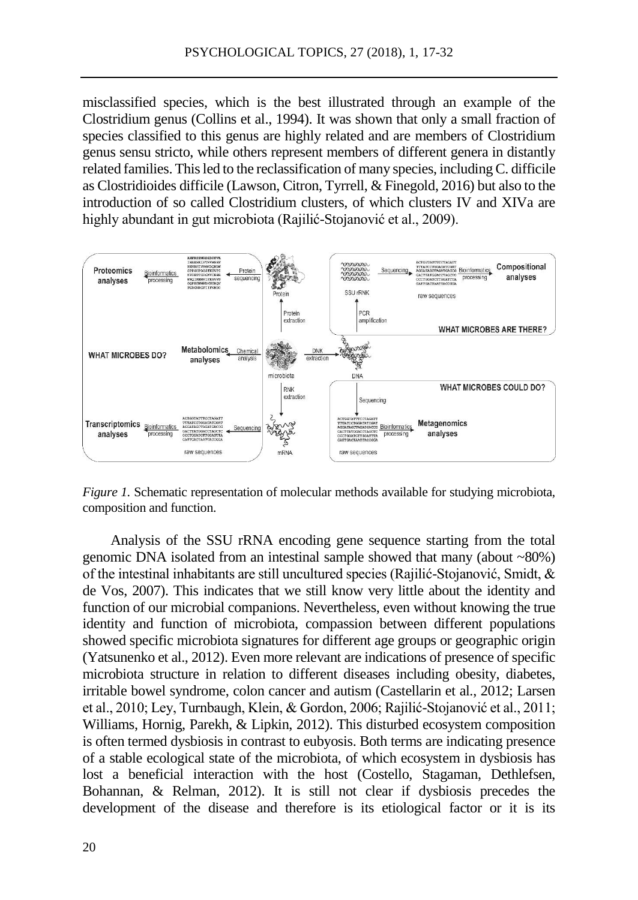misclassified species, which is the best illustrated through an example of the Clostridium genus (Collins et al., 1994). It was shown that only a small fraction of species classified to this genus are highly related and are members of Clostridium genus sensu stricto, while others represent members of different genera in distantly related families. This led to the reclassification of many species, including C. difficile as Clostridioides difficile (Lawson, Citron, Tyrrell, & Finegold, 2016) but also to the introduction of so called Clostridium clusters, of which clusters IV and XIVa are highly abundant in gut microbiota (Rajilić-Stojanović et al., 2009).



*Figure 1.* Schematic representation of molecular methods available for studying microbiota, composition and function.

Analysis of the SSU rRNA encoding gene sequence starting from the total genomic DNA isolated from an intestinal sample showed that many (about ~80%) of the intestinal inhabitants are still uncultured species (Rajilić-Stojanović, Smidt, & de Vos, 2007). This indicates that we still know very little about the identity and function of our microbial companions. Nevertheless, even without knowing the true identity and function of microbiota, compassion between different populations showed specific microbiota signatures for different age groups or geographic origin (Yatsunenko et al., 2012). Even more relevant are indications of presence of specific microbiota structure in relation to different diseases including obesity, diabetes, irritable bowel syndrome, colon cancer and autism (Castellarin et al., 2012; Larsen et al., 2010; Ley, Turnbaugh, Klein, & Gordon, 2006; Rajilić-Stojanović et al., 2011; Williams, Hornig, Parekh, & Lipkin, 2012). This disturbed ecosystem composition is often termed dysbiosis in contrast to eubyosis. Both terms are indicating presence of a stable ecological state of the microbiota, of which ecosystem in dysbiosis has lost a beneficial interaction with the host (Costello, Stagaman, Dethlefsen, Bohannan, & Relman, 2012). It is still not clear if dysbiosis precedes the development of the disease and therefore is its etiological factor or it is its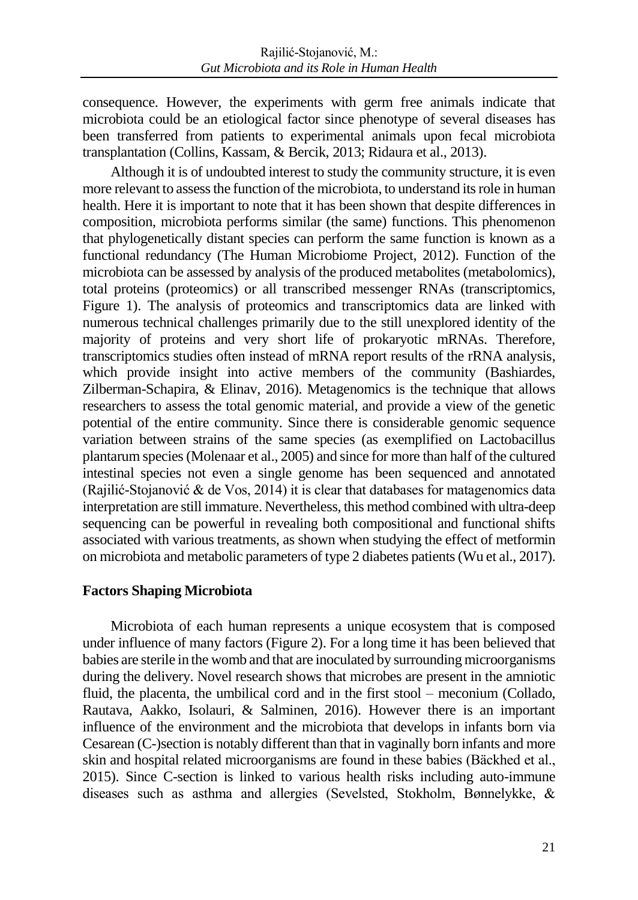consequence. However, the experiments with germ free animals indicate that microbiota could be an etiological factor since phenotype of several diseases has been transferred from patients to experimental animals upon fecal microbiota transplantation (Collins, Kassam, & Bercik, 2013; Ridaura et al., 2013).

Although it is of undoubted interest to study the community structure, it is even more relevant to assess the function of the microbiota, to understand its role in human health. Here it is important to note that it has been shown that despite differences in composition, microbiota performs similar (the same) functions. This phenomenon that phylogenetically distant species can perform the same function is known as a functional redundancy (The Human Microbiome Project, 2012). Function of the microbiota can be assessed by analysis of the produced metabolites (metabolomics), total proteins (proteomics) or all transcribed messenger RNAs (transcriptomics, Figure 1). The analysis of proteomics and transcriptomics data are linked with numerous technical challenges primarily due to the still unexplored identity of the majority of proteins and very short life of prokaryotic mRNAs. Therefore, transcriptomics studies often instead of mRNA report results of the rRNA analysis, which provide insight into active members of the community (Bashiardes, Zilberman-Schapira, & Elinav, 2016). Metagenomics is the technique that allows researchers to assess the total genomic material, and provide a view of the genetic potential of the entire community. Since there is considerable genomic sequence variation between strains of the same species (as exemplified on Lactobacillus plantarum species (Molenaar et al., 2005) and since for more than half of the cultured intestinal species not even a single genome has been sequenced and annotated (Rajilić-Stojanović & de Vos, 2014) it is clear that databases for matagenomics data interpretation are still immature. Nevertheless, this method combined with ultra-deep sequencing can be powerful in revealing both compositional and functional shifts associated with various treatments, as shown when studying the effect of metformin on microbiota and metabolic parameters of type 2 diabetes patients (Wu et al., 2017).

## **Factors Shaping Microbiota**

Microbiota of each human represents a unique ecosystem that is composed under influence of many factors (Figure 2). For a long time it has been believed that babies are sterile in the womb and that are inoculated by surrounding microorganisms during the delivery. Novel research shows that microbes are present in the amniotic fluid, the placenta, the umbilical cord and in the first stool – meconium (Collado, Rautava, Aakko, Isolauri, & Salminen, 2016). However there is an important influence of the environment and the microbiota that develops in infants born via Cesarean (C-)section is notably different than that in vaginally born infants and more skin and hospital related microorganisms are found in these babies (Bäckhed et al., 2015). Since C-section is linked to various health risks including auto-immune diseases such as asthma and allergies (Sevelsted, Stokholm, Bønnelykke, &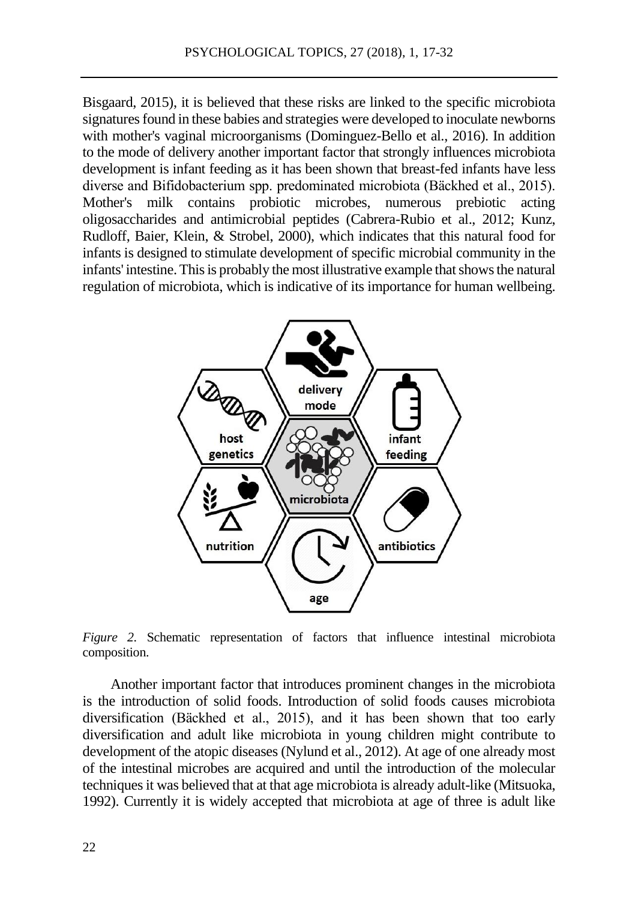Bisgaard, 2015), it is believed that these risks are linked to the specific microbiota signatures found in these babies and strategies were developed to inoculate newborns with mother's vaginal microorganisms (Dominguez-Bello et al., 2016). In addition to the mode of delivery another important factor that strongly influences microbiota development is infant feeding as it has been shown that breast-fed infants have less diverse and Bifidobacterium spp. predominated microbiota (Bäckhed et al., 2015). Mother's milk contains probiotic microbes, numerous prebiotic acting oligosaccharides and antimicrobial peptides (Cabrera-Rubio et al., 2012; Kunz, Rudloff, Baier, Klein, & Strobel, 2000), which indicates that this natural food for infants is designed to stimulate development of specific microbial community in the infants' intestine. This is probably the most illustrative example that shows the natural regulation of microbiota, which is indicative of its importance for human wellbeing.



*Figure 2.* Schematic representation of factors that influence intestinal microbiota composition.

Another important factor that introduces prominent changes in the microbiota is the introduction of solid foods. Introduction of solid foods causes microbiota diversification (Bäckhed et al., 2015), and it has been shown that too early diversification and adult like microbiota in young children might contribute to development of the atopic diseases (Nylund et al., 2012). At age of one already most of the intestinal microbes are acquired and until the introduction of the molecular techniques it was believed that at that age microbiota is already adult-like (Mitsuoka, 1992). Currently it is widely accepted that microbiota at age of three is adult like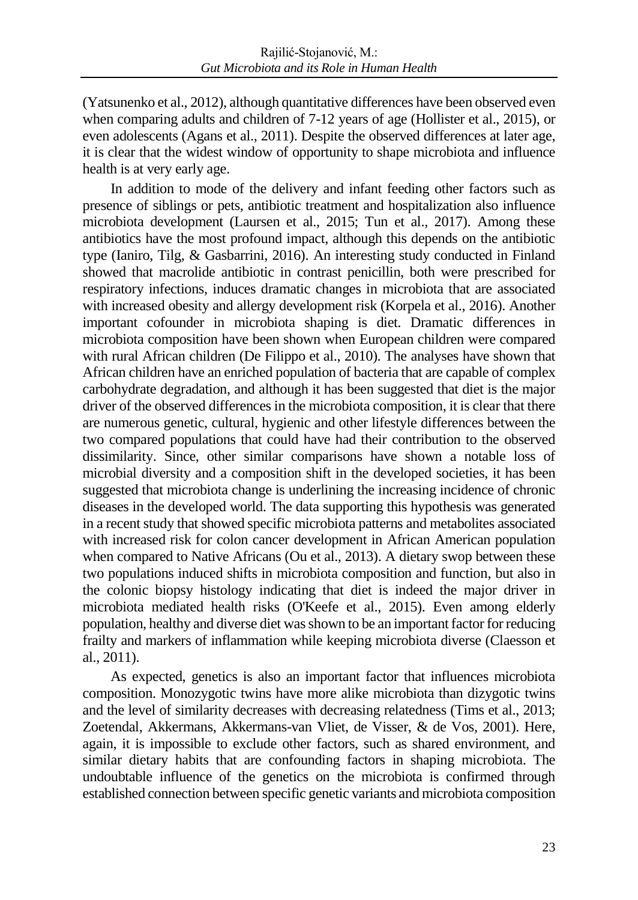(Yatsunenko et al., 2012), although quantitative differences have been observed even when comparing adults and children of 7-12 years of age (Hollister et al., 2015), or even adolescents (Agans et al., 2011). Despite the observed differences at later age, it is clear that the widest window of opportunity to shape microbiota and influence health is at very early age.

In addition to mode of the delivery and infant feeding other factors such as presence of siblings or pets, antibiotic treatment and hospitalization also influence microbiota development (Laursen et al., 2015; Tun et al., 2017). Among these antibiotics have the most profound impact, although this depends on the antibiotic type (Ianiro, Tilg, & Gasbarrini, 2016). An interesting study conducted in Finland showed that macrolide antibiotic in contrast penicillin, both were prescribed for respiratory infections, induces dramatic changes in microbiota that are associated with increased obesity and allergy development risk (Korpela et al., 2016). Another important cofounder in microbiota shaping is diet. Dramatic differences in microbiota composition have been shown when European children were compared with rural African children (De Filippo et al., 2010). The analyses have shown that African children have an enriched population of bacteria that are capable of complex carbohydrate degradation, and although it has been suggested that diet is the major driver of the observed differences in the microbiota composition, it is clear that there are numerous genetic, cultural, hygienic and other lifestyle differences between the two compared populations that could have had their contribution to the observed dissimilarity. Since, other similar comparisons have shown a notable loss of microbial diversity and a composition shift in the developed societies, it has been suggested that microbiota change is underlining the increasing incidence of chronic diseases in the developed world. The data supporting this hypothesis was generated in a recent study that showed specific microbiota patterns and metabolites associated with increased risk for colon cancer development in African American population when compared to Native Africans (Ou et al., 2013). A dietary swop between these two populations induced shifts in microbiota composition and function, but also in the colonic biopsy histology indicating that diet is indeed the major driver in microbiota mediated health risks (O'Keefe et al., 2015). Even among elderly population, healthy and diverse diet was shown to be an important factor for reducing frailty and markers of inflammation while keeping microbiota diverse (Claesson et al., 2011).

As expected, genetics is also an important factor that influences microbiota composition. Monozygotic twins have more alike microbiota than dizygotic twins and the level of similarity decreases with decreasing relatedness (Tims et al., 2013; Zoetendal, Akkermans, Akkermans-van Vliet, de Visser, & de Vos, 2001). Here, again, it is impossible to exclude other factors, such as shared environment, and similar dietary habits that are confounding factors in shaping microbiota. The undoubtable influence of the genetics on the microbiota is confirmed through established connection between specific genetic variants and microbiota composition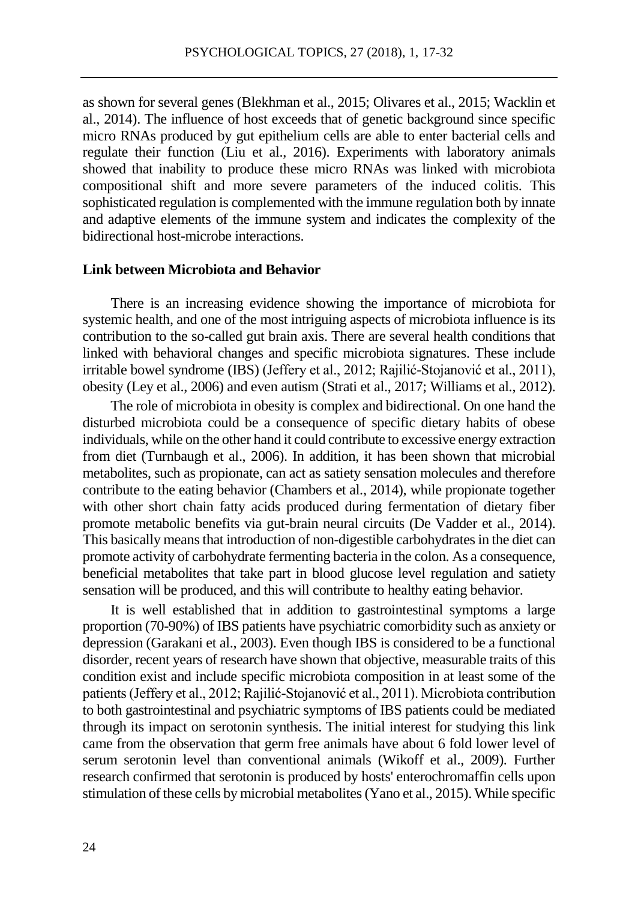as shown for several genes (Blekhman et al., 2015; Olivares et al., 2015; Wacklin et al., 2014). The influence of host exceeds that of genetic background since specific micro RNAs produced by gut epithelium cells are able to enter bacterial cells and regulate their function (Liu et al., 2016). Experiments with laboratory animals showed that inability to produce these micro RNAs was linked with microbiota compositional shift and more severe parameters of the induced colitis. This sophisticated regulation is complemented with the immune regulation both by innate and adaptive elements of the immune system and indicates the complexity of the bidirectional host-microbe interactions.

#### **Link between Microbiota and Behavior**

There is an increasing evidence showing the importance of microbiota for systemic health, and one of the most intriguing aspects of microbiota influence is its contribution to the so-called gut brain axis. There are several health conditions that linked with behavioral changes and specific microbiota signatures. These include irritable bowel syndrome (IBS) (Jeffery et al., 2012; Rajilić-Stojanović et al., 2011), obesity (Ley et al., 2006) and even autism (Strati et al., 2017; Williams et al., 2012).

The role of microbiota in obesity is complex and bidirectional. On one hand the disturbed microbiota could be a consequence of specific dietary habits of obese individuals, while on the other hand it could contribute to excessive energy extraction from diet (Turnbaugh et al., 2006). In addition, it has been shown that microbial metabolites, such as propionate, can act as satiety sensation molecules and therefore contribute to the eating behavior (Chambers et al., 2014), while propionate together with other short chain fatty acids produced during fermentation of dietary fiber promote metabolic benefits via gut-brain neural circuits (De Vadder et al., 2014). This basically means that introduction of non-digestible carbohydrates in the diet can promote activity of carbohydrate fermenting bacteria in the colon. As a consequence, beneficial metabolites that take part in blood glucose level regulation and satiety sensation will be produced, and this will contribute to healthy eating behavior.

It is well established that in addition to gastrointestinal symptoms a large proportion (70-90%) of IBS patients have psychiatric comorbidity such as anxiety or depression (Garakani et al., 2003). Even though IBS is considered to be a functional disorder, recent years of research have shown that objective, measurable traits of this condition exist and include specific microbiota composition in at least some of the patients (Jeffery et al., 2012; Rajilić-Stojanović et al., 2011). Microbiota contribution to both gastrointestinal and psychiatric symptoms of IBS patients could be mediated through its impact on serotonin synthesis. The initial interest for studying this link came from the observation that germ free animals have about 6 fold lower level of serum serotonin level than conventional animals (Wikoff et al., 2009). Further research confirmed that serotonin is produced by hosts' enterochromaffin cells upon stimulation of these cells by microbial metabolites (Yano et al., 2015). While specific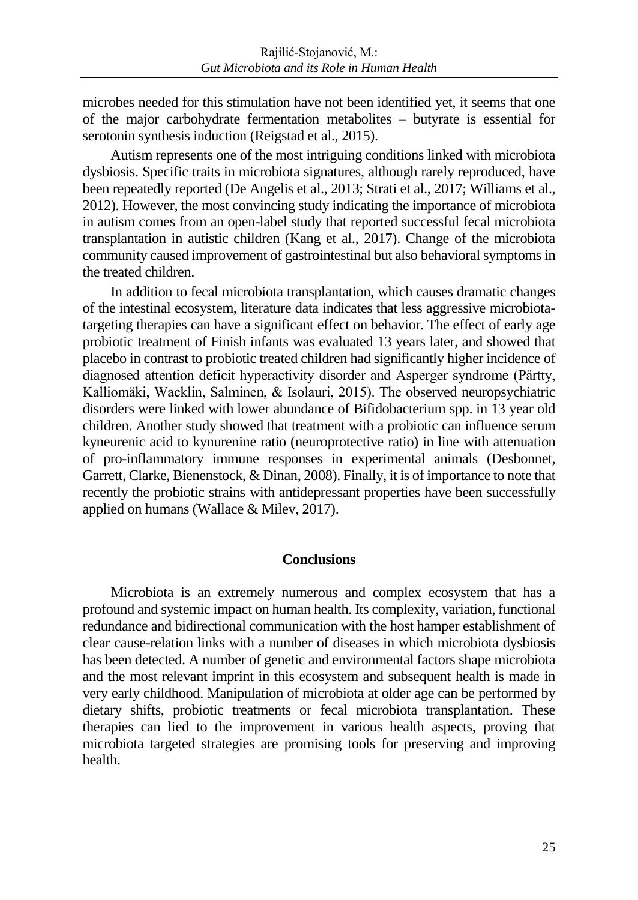microbes needed for this stimulation have not been identified yet, it seems that one of the major carbohydrate fermentation metabolites – butyrate is essential for serotonin synthesis induction (Reigstad et al., 2015).

Autism represents one of the most intriguing conditions linked with microbiota dysbiosis. Specific traits in microbiota signatures, although rarely reproduced, have been repeatedly reported (De Angelis et al., 2013; Strati et al., 2017; Williams et al., 2012). However, the most convincing study indicating the importance of microbiota in autism comes from an open-label study that reported successful fecal microbiota transplantation in autistic children (Kang et al., 2017). Change of the microbiota community caused improvement of gastrointestinal but also behavioral symptoms in the treated children.

In addition to fecal microbiota transplantation, which causes dramatic changes of the intestinal ecosystem, literature data indicates that less aggressive microbiotatargeting therapies can have a significant effect on behavior. The effect of early age probiotic treatment of Finish infants was evaluated 13 years later, and showed that placebo in contrast to probiotic treated children had significantly higher incidence of diagnosed attention deficit hyperactivity disorder and Asperger syndrome (Pärtty, Kalliomäki, Wacklin, Salminen, & Isolauri, 2015). The observed neuropsychiatric disorders were linked with lower abundance of Bifidobacterium spp. in 13 year old children. Another study showed that treatment with a probiotic can influence serum kyneurenic acid to kynurenine ratio (neuroprotective ratio) in line with attenuation of pro-inflammatory immune responses in experimental animals (Desbonnet, Garrett, Clarke, Bienenstock, & Dinan, 2008). Finally, it is of importance to note that recently the probiotic strains with antidepressant properties have been successfully applied on humans (Wallace & Milev, 2017).

#### **Conclusions**

Microbiota is an extremely numerous and complex ecosystem that has a profound and systemic impact on human health. Its complexity, variation, functional redundance and bidirectional communication with the host hamper establishment of clear cause-relation links with a number of diseases in which microbiota dysbiosis has been detected. A number of genetic and environmental factors shape microbiota and the most relevant imprint in this ecosystem and subsequent health is made in very early childhood. Manipulation of microbiota at older age can be performed by dietary shifts, probiotic treatments or fecal microbiota transplantation. These therapies can lied to the improvement in various health aspects, proving that microbiota targeted strategies are promising tools for preserving and improving health.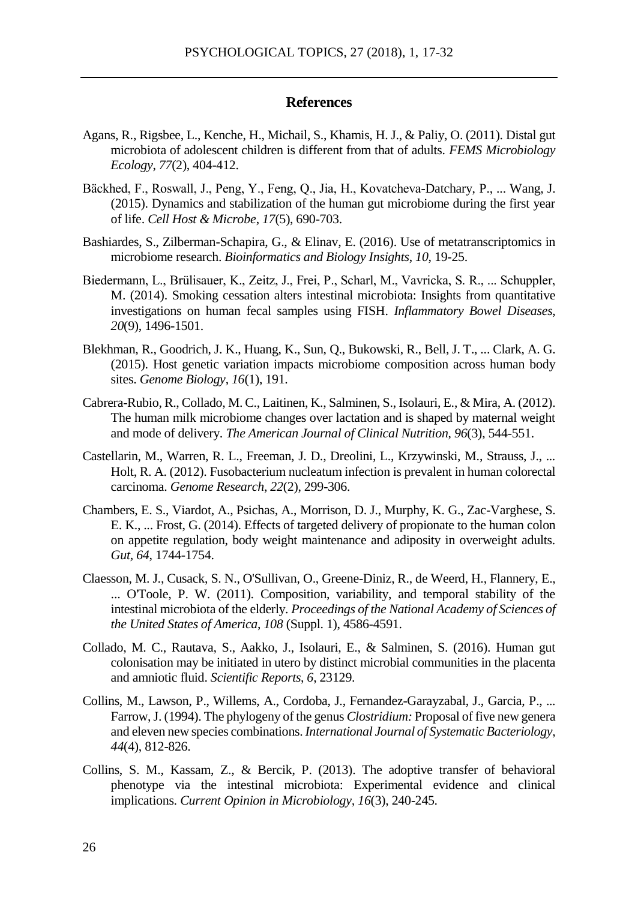#### **References**

- Agans, R., Rigsbee, L., Kenche, H., Michail, S., Khamis, H. J., & Paliy, O. (2011). Distal gut microbiota of adolescent children is different from that of adults. *FEMS Microbiology Ecology*, *77*(2), 404-412.
- Bäckhed, F., Roswall, J., Peng, Y., Feng, Q., Jia, H., Kovatcheva-Datchary, P., ... Wang, J. (2015). Dynamics and stabilization of the human gut microbiome during the first year of life. *Cell Host & Microbe*, *17*(5), 690-703.
- Bashiardes, S., Zilberman-Schapira, G., & Elinav, E. (2016). Use of metatranscriptomics in microbiome research. *Bioinformatics and Biology Insights*, *10*, 19-25.
- Biedermann, L., Brülisauer, K., Zeitz, J., Frei, P., Scharl, M., Vavricka, S. R., ... Schuppler, M. (2014). Smoking cessation alters intestinal microbiota: Insights from quantitative investigations on human fecal samples using FISH. *Inflammatory Bowel Diseases*, *20*(9), 1496-1501.
- Blekhman, R., Goodrich, J. K., Huang, K., Sun, Q., Bukowski, R., Bell, J. T., ... Clark, A. G. (2015). Host genetic variation impacts microbiome composition across human body sites. *Genome Biology*, *16*(1), 191.
- Cabrera-Rubio, R., Collado, M. C., Laitinen, K., Salminen, S., Isolauri, E., & Mira, A. (2012). The human milk microbiome changes over lactation and is shaped by maternal weight and mode of delivery. *The American Journal of Clinical Nutrition*, *96*(3), 544-551.
- Castellarin, M., Warren, R. L., Freeman, J. D., Dreolini, L., Krzywinski, M., Strauss, J., ... Holt, R. A. (2012). Fusobacterium nucleatum infection is prevalent in human colorectal carcinoma. *Genome Research*, *22*(2), 299-306.
- Chambers, E. S., Viardot, A., Psichas, A., Morrison, D. J., Murphy, K. G., Zac-Varghese, S. E. K., ... Frost, G. (2014). Effects of targeted delivery of propionate to the human colon on appetite regulation, body weight maintenance and adiposity in overweight adults. *Gut, 64*, 1744-1754.
- Claesson, M. J., Cusack, S. N., O'Sullivan, O., Greene-Diniz, R., de Weerd, H., Flannery, E., ... O'Toole, P. W. (2011). Composition, variability, and temporal stability of the intestinal microbiota of the elderly. *Proceedings of the National Academy of Sciences of the United States of America*, *108* (Suppl. 1), 4586-4591.
- Collado, M. C., Rautava, S., Aakko, J., Isolauri, E., & Salminen, S. (2016). Human gut colonisation may be initiated in utero by distinct microbial communities in the placenta and amniotic fluid. *Scientific Reports*, *6*, 23129.
- Collins, M., Lawson, P., Willems, A., Cordoba, J., Fernandez-Garayzabal, J., Garcia, P., ... Farrow, J. (1994). The phylogeny of the genus *Clostridium:* Proposal of five new genera and eleven new species combinations. *International Journal of Systematic Bacteriology*, *44*(4), 812-826.
- Collins, S. M., Kassam, Z., & Bercik, P. (2013). The adoptive transfer of behavioral phenotype via the intestinal microbiota: Experimental evidence and clinical implications. *Current Opinion in Microbiology, 16*(3), 240-245.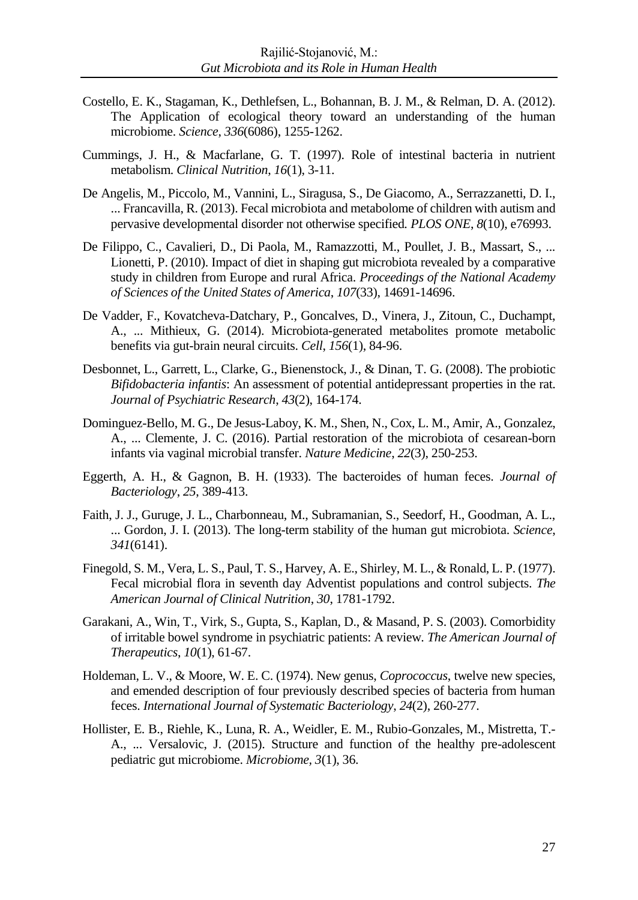- Costello, E. K., Stagaman, K., Dethlefsen, L., Bohannan, B. J. M., & Relman, D. A. (2012). The Application of ecological theory toward an understanding of the human microbiome. *Science*, *336*(6086), 1255-1262.
- Cummings, J. H., & Macfarlane, G. T. (1997). Role of intestinal bacteria in nutrient metabolism. *Clinical Nutrition*, *16*(1), 3-11.
- De Angelis, M., Piccolo, M., Vannini, L., Siragusa, S., De Giacomo, A., Serrazzanetti, D. I., ... Francavilla, R. (2013). Fecal microbiota and metabolome of children with autism and pervasive developmental disorder not otherwise specified*. PLOS ONE*, *8*(10), e76993.
- De Filippo, C., Cavalieri, D., Di Paola, M., Ramazzotti, M., Poullet, J. B., Massart, S., ... Lionetti, P. (2010). Impact of diet in shaping gut microbiota revealed by a comparative study in children from Europe and rural Africa. *Proceedings of the National Academy of Sciences of the United States of America*, *107*(33), 14691-14696.
- De Vadder, F., Kovatcheva-Datchary, P., Goncalves, D., Vinera, J., Zitoun, C., Duchampt, A., ... Mithieux, G. (2014). Microbiota-generated metabolites promote metabolic benefits via gut-brain neural circuits. *Cell*, *156*(1), 84-96.
- Desbonnet, L., Garrett, L., Clarke, G., Bienenstock, J., & Dinan, T. G. (2008). The probiotic *Bifidobacteria infantis*: An assessment of potential antidepressant properties in the rat. *Journal of Psychiatric Research*, *43*(2), 164-174.
- Dominguez-Bello, M. G., De Jesus-Laboy, K. M., Shen, N., Cox, L. M., Amir, A., Gonzalez, A., ... Clemente, J. C. (2016). Partial restoration of the microbiota of cesarean-born infants via vaginal microbial transfer. *Nature Medicine*, *22*(3), 250-253.
- Eggerth, A. H., & Gagnon, B. H. (1933). The bacteroides of human feces. *Journal of Bacteriology*, *25*, 389-413.
- Faith, J. J., Guruge, J. L., Charbonneau, M., Subramanian, S., Seedorf, H., Goodman, A. L., ... Gordon, J. I. (2013). The long-term stability of the human gut microbiota. *Science*, *341*(6141).
- Finegold, S. M., Vera, L. S., Paul, T. S., Harvey, A. E., Shirley, M. L., & Ronald, L. P. (1977). Fecal microbial flora in seventh day Adventist populations and control subjects. *The American Journal of Clinical Nutrition*, *30*, 1781-1792.
- Garakani, A., Win, T., Virk, S., Gupta, S., Kaplan, D., & Masand, P. S. (2003). Comorbidity of irritable bowel syndrome in psychiatric patients: A review. *The American Journal of Therapeutics*, *10*(1), 61-67.
- Holdeman, L. V., & Moore, W. E. C. (1974). New genus, *Coprococcus*, twelve new species, and emended description of four previously described species of bacteria from human feces. *International Journal of Systematic Bacteriology*, *24*(2), 260-277.
- Hollister, E. B., Riehle, K., Luna, R. A., Weidler, E. M., Rubio-Gonzales, M., Mistretta, T.- A., ... Versalovic, J. (2015). Structure and function of the healthy pre-adolescent pediatric gut microbiome. *Microbiome, 3*(1), 36.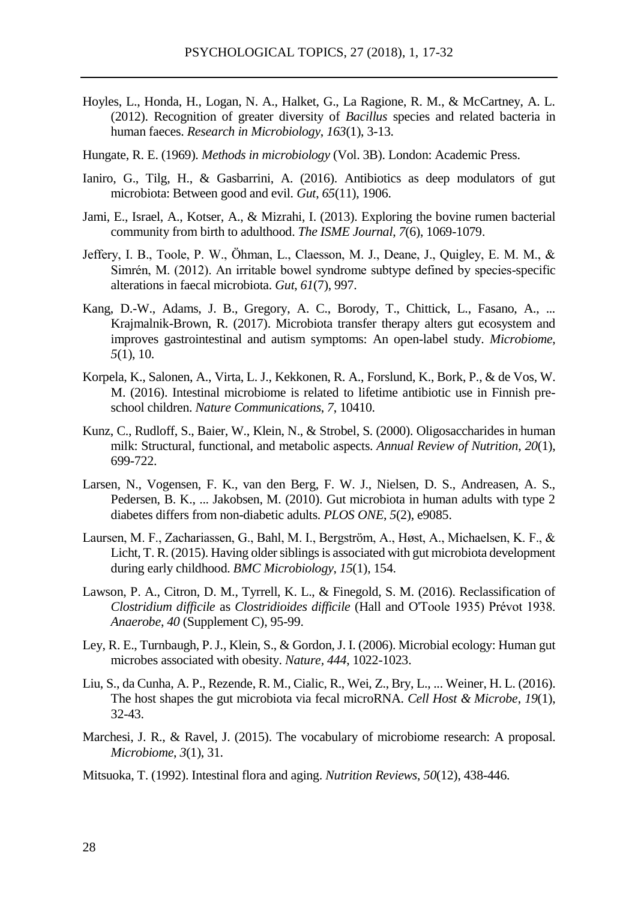- Hoyles, L., Honda, H., Logan, N. A., Halket, G., La Ragione, R. M., & McCartney, A. L. (2012). Recognition of greater diversity of *Bacillus* species and related bacteria in human faeces. *Research in Microbiology*, *163*(1), 3-13.
- Hungate, R. E. (1969). *Methods in microbiology* (Vol. 3B). London: Academic Press.
- Ianiro, G., Tilg, H., & Gasbarrini, A. (2016). Antibiotics as deep modulators of gut microbiota: Between good and evil. *Gut*, *65*(11), 1906.
- Jami, E., Israel, A., Kotser, A., & Mizrahi, I. (2013). Exploring the bovine rumen bacterial community from birth to adulthood. *The ISME Journal*, *7*(6), 1069-1079.
- Jeffery, I. B., Toole, P. W., Öhman, L., Claesson, M. J., Deane, J., Quigley, E. M. M., & Simrén, M. (2012). An irritable bowel syndrome subtype defined by species-specific alterations in faecal microbiota. *Gut*, *61*(7), 997.
- Kang, D.-W., Adams, J. B., Gregory, A. C., Borody, T., Chittick, L., Fasano, A., ... Krajmalnik-Brown, R. (2017). Microbiota transfer therapy alters gut ecosystem and improves gastrointestinal and autism symptoms: An open-label study. *Microbiome*, *5*(1), 10.
- Korpela, K., Salonen, A., Virta, L. J., Kekkonen, R. A., Forslund, K., Bork, P., & de Vos, W. M. (2016). Intestinal microbiome is related to lifetime antibiotic use in Finnish preschool children. *Nature Communications*, *7*, 10410.
- Kunz, C., Rudloff, S., Baier, W., Klein, N., & Strobel, S. (2000). Oligosaccharides in human milk: Structural, functional, and metabolic aspects. *Annual Review of Nutrition*, *20*(1), 699-722.
- Larsen, N., Vogensen, F. K., van den Berg, F. W. J., Nielsen, D. S., Andreasen, A. S., Pedersen, B. K., ... Jakobsen, M. (2010). Gut microbiota in human adults with type 2 diabetes differs from non-diabetic adults. *PLOS ONE*, *5*(2), e9085.
- Laursen, M. F., Zachariassen, G., Bahl, M. I., Bergström, A., Høst, A., Michaelsen, K. F., & Licht, T. R. (2015). Having older siblings is associated with gut microbiota development during early childhood. *BMC Microbiology*, *15*(1), 154.
- Lawson, P. A., Citron, D. M., Tyrrell, K. L., & Finegold, S. M. (2016). Reclassification of *Clostridium difficile* as *Clostridioides difficile* (Hall and O'Toole 1935) Prévot 1938. *Anaerobe*, *40* (Supplement C), 95-99.
- Ley, R. E., Turnbaugh, P. J., Klein, S., & Gordon, J. I. (2006). Microbial ecology: Human gut microbes associated with obesity. *Nature, 444*, 1022-1023.
- Liu, S., da Cunha, A. P., Rezende, R. M., Cialic, R., Wei, Z., Bry, L., ... Weiner, H. L. (2016). The host shapes the gut microbiota via fecal microRNA. *Cell Host & Microbe*, *19*(1), 32-43.
- Marchesi, J. R., & Ravel, J. (2015). The vocabulary of microbiome research: A proposal. *Microbiome*, *3*(1), 31.
- Mitsuoka, T. (1992). Intestinal flora and aging. *Nutrition Reviews*, *50*(12), 438-446.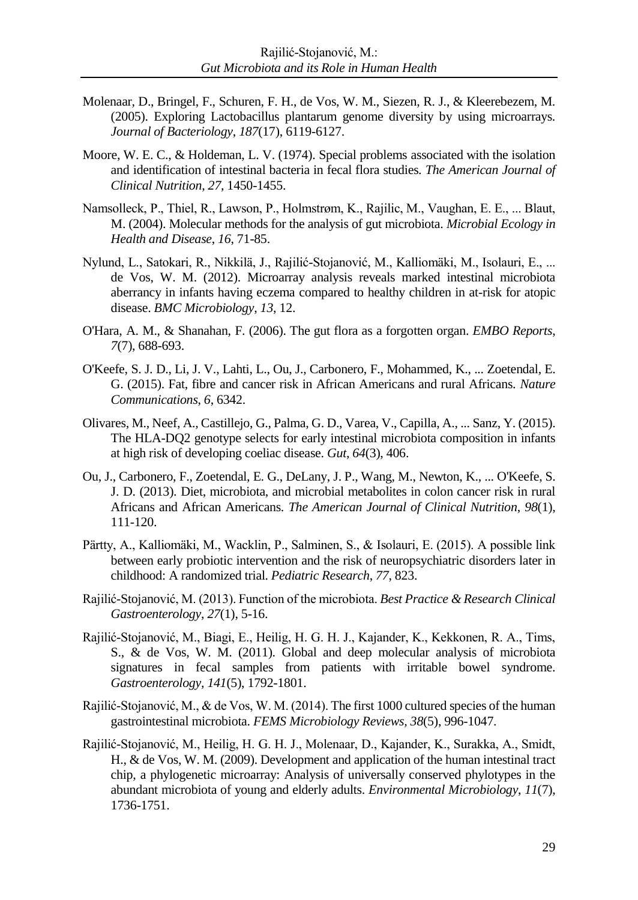- Molenaar, D., Bringel, F., Schuren, F. H., de Vos, W. M., Siezen, R. J., & Kleerebezem, M. (2005). Exploring Lactobacillus plantarum genome diversity by using microarrays. *Journal of Bacteriology*, *187*(17), 6119-6127.
- Moore, W. E. C., & Holdeman, L. V. (1974). Special problems associated with the isolation and identification of intestinal bacteria in fecal flora studies. *The American Journal of Clinical Nutrition*, *27*, 1450-1455.
- Namsolleck, P., Thiel, R., Lawson, P., Holmstrøm, K., Rajilic, M., Vaughan, E. E., ... Blaut, M. (2004). Molecular methods for the analysis of gut microbiota. *Microbial Ecology in Health and Disease*, *16*, 71-85.
- Nylund, L., Satokari, R., Nikkilä, J., Rajilić-Stojanović, M., Kalliomäki, M., Isolauri, E., ... de Vos, W. M. (2012). Microarray analysis reveals marked intestinal microbiota aberrancy in infants having eczema compared to healthy children in at-risk for atopic disease. *BMC Microbiology*, *13*, 12.
- O'Hara, A. M., & Shanahan, F. (2006). The gut flora as a forgotten organ. *EMBO Reports*, *7*(7), 688-693.
- O'Keefe, S. J. D., Li, J. V., Lahti, L., Ou, J., Carbonero, F., Mohammed, K., ... Zoetendal, E. G. (2015). Fat, fibre and cancer risk in African Americans and rural Africans. *Nature Communications*, *6*, 6342.
- Olivares, M., Neef, A., Castillejo, G., Palma, G. D., Varea, V., Capilla, A., ... Sanz, Y. (2015). The HLA-DQ2 genotype selects for early intestinal microbiota composition in infants at high risk of developing coeliac disease. *Gut, 64*(3), 406.
- Ou, J., Carbonero, F., Zoetendal, E. G., DeLany, J. P., Wang, M., Newton, K., ... O'Keefe, S. J. D. (2013). Diet, microbiota, and microbial metabolites in colon cancer risk in rural Africans and African Americans. *The American Journal of Clinical Nutrition*, *98*(1), 111-120.
- Pärtty, A., Kalliomäki, M., Wacklin, P., Salminen, S., & Isolauri, E. (2015). A possible link between early probiotic intervention and the risk of neuropsychiatric disorders later in childhood: A randomized trial. *Pediatric Research*, *77*, 823.
- Rajilić-Stojanović, M. (2013). Function of the microbiota. *Best Practice & Research Clinical Gastroenterology*, *27*(1), 5-16.
- Rajilić-Stojanović, M., Biagi, E., Heilig, H. G. H. J., Kajander, K., Kekkonen, R. A., Tims, S., & de Vos, W. M. (2011). Global and deep molecular analysis of microbiota signatures in fecal samples from patients with irritable bowel syndrome. *Gastroenterology, 141*(5), 1792-1801.
- Rajilić-Stojanović, M., & de Vos, W. M. (2014). The first 1000 cultured species of the human gastrointestinal microbiota. *FEMS Microbiology Reviews, 38*(5), 996-1047.
- Rajilić-Stojanović, M., Heilig, H. G. H. J., Molenaar, D., Kajander, K., Surakka, A., Smidt, H., & de Vos, W. M. (2009). Development and application of the human intestinal tract chip, a phylogenetic microarray: Analysis of universally conserved phylotypes in the abundant microbiota of young and elderly adults. *Environmental Microbiology*, *11*(7), 1736-1751.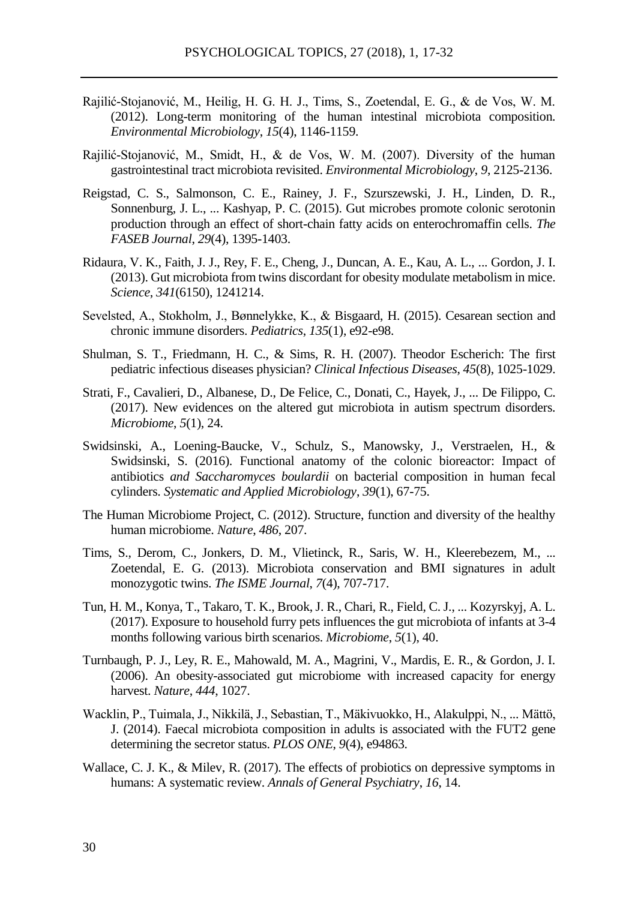- Rajilić-Stojanović, M., Heilig, H. G. H. J., Tims, S., Zoetendal, E. G., & de Vos, W. M. (2012). Long-term monitoring of the human intestinal microbiota composition. *Environmental Microbiology*, *15*(4), 1146-1159.
- Rajilić-Stojanović, M., Smidt, H., & de Vos, W. M. (2007). Diversity of the human gastrointestinal tract microbiota revisited. *Environmental Microbiology*, *9*, 2125-2136.
- Reigstad, C. S., Salmonson, C. E., Rainey, J. F., Szurszewski, J. H., Linden, D. R., Sonnenburg, J. L., ... Kashyap, P. C. (2015). Gut microbes promote colonic serotonin production through an effect of short-chain fatty acids on enterochromaffin cells. *The FASEB Journal*, *29*(4), 1395-1403.
- Ridaura, V. K., Faith, J. J., Rey, F. E., Cheng, J., Duncan, A. E., Kau, A. L., ... Gordon, J. I. (2013). Gut microbiota from twins discordant for obesity modulate metabolism in mice. *Science*, *341*(6150), 1241214.
- Sevelsted, A., Stokholm, J., Bønnelykke, K., & Bisgaard, H. (2015). Cesarean section and chronic immune disorders. *Pediatrics*, *135*(1), e92-e98.
- Shulman, S. T., Friedmann, H. C., & Sims, R. H. (2007). Theodor Escherich: The first pediatric infectious diseases physician? *Clinical Infectious Diseases*, *45*(8), 1025-1029.
- Strati, F., Cavalieri, D., Albanese, D., De Felice, C., Donati, C., Hayek, J., ... De Filippo, C. (2017). New evidences on the altered gut microbiota in autism spectrum disorders. *Microbiome*, *5*(1), 24.
- Swidsinski, A., Loening-Baucke, V., Schulz, S., Manowsky, J., Verstraelen, H., & Swidsinski, S. (2016). Functional anatomy of the colonic bioreactor: Impact of antibiotics *and Saccharomyces boulardii* on bacterial composition in human fecal cylinders. *Systematic and Applied Microbiology*, *39*(1), 67-75.
- The Human Microbiome Project, C. (2012). Structure, function and diversity of the healthy human microbiome. *Nature*, *486*, 207.
- Tims, S., Derom, C., Jonkers, D. M., Vlietinck, R., Saris, W. H., Kleerebezem, M., ... Zoetendal, E. G. (2013). Microbiota conservation and BMI signatures in adult monozygotic twins. *The ISME Journal*, *7*(4), 707-717.
- Tun, H. M., Konya, T., Takaro, T. K., Brook, J. R., Chari, R., Field, C. J., ... Kozyrskyj, A. L. (2017). Exposure to household furry pets influences the gut microbiota of infants at 3-4 months following various birth scenarios. *Microbiome*, *5*(1), 40.
- Turnbaugh, P. J., Ley, R. E., Mahowald, M. A., Magrini, V., Mardis, E. R., & Gordon, J. I. (2006). An obesity-associated gut microbiome with increased capacity for energy harvest. *Nature*, *444*, 1027.
- Wacklin, P., Tuimala, J., Nikkilä, J., Sebastian, T., Mäkivuokko, H., Alakulppi, N., ... Mättö, J. (2014). Faecal microbiota composition in adults is associated with the FUT2 gene determining the secretor status. *PLOS ONE*, *9*(4), e94863.
- Wallace, C. J. K., & Milev, R. (2017). The effects of probiotics on depressive symptoms in humans: A systematic review. *Annals of General Psychiatry*, *16*, 14.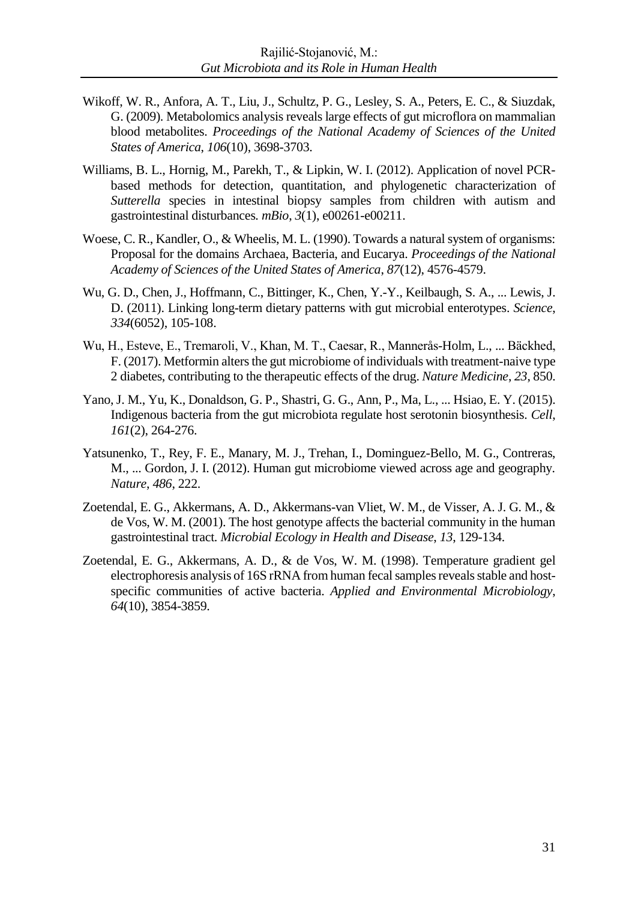- Wikoff, W. R., Anfora, A. T., Liu, J., Schultz, P. G., Lesley, S. A., Peters, E. C., & Siuzdak, G. (2009). Metabolomics analysis reveals large effects of gut microflora on mammalian blood metabolites. *Proceedings of the National Academy of Sciences of the United States of America*, *106*(10), 3698-3703.
- Williams, B. L., Hornig, M., Parekh, T., & Lipkin, W. I. (2012). Application of novel PCRbased methods for detection, quantitation, and phylogenetic characterization of *Sutterella* species in intestinal biopsy samples from children with autism and gastrointestinal disturbances*. mBio*, *3*(1), e00261-e00211.
- Woese, C. R., Kandler, O., & Wheelis, M. L. (1990). Towards a natural system of organisms: Proposal for the domains Archaea, Bacteria, and Eucarya. *Proceedings of the National Academy of Sciences of the United States of America*, *87*(12), 4576-4579.
- Wu, G. D., Chen, J., Hoffmann, C., Bittinger, K., Chen, Y.-Y., Keilbaugh, S. A., ... Lewis, J. D. (2011). Linking long-term dietary patterns with gut microbial enterotypes. *Science*, *334*(6052), 105-108.
- Wu, H., Esteve, E., Tremaroli, V., Khan, M. T., Caesar, R., Mannerås-Holm, L., ... Bäckhed, F. (2017). Metformin alters the gut microbiome of individuals with treatment-naive type 2 diabetes, contributing to the therapeutic effects of the drug. *Nature Medicine*, *23*, 850.
- Yano, J. M., Yu, K., Donaldson, G. P., Shastri, G. G., Ann, P., Ma, L., ... Hsiao, E. Y. (2015). Indigenous bacteria from the gut microbiota regulate host serotonin biosynthesis. *Cell*, *161*(2), 264-276.
- Yatsunenko, T., Rey, F. E., Manary, M. J., Trehan, I., Dominguez-Bello, M. G., Contreras, M., ... Gordon, J. I. (2012). Human gut microbiome viewed across age and geography. *Nature*, *486*, 222.
- Zoetendal, E. G., Akkermans, A. D., Akkermans-van Vliet, W. M., de Visser, A. J. G. M., & de Vos, W. M. (2001). The host genotype affects the bacterial community in the human gastrointestinal tract. *Microbial Ecology in Health and Disease*, *13*, 129-134.
- Zoetendal, E. G., Akkermans, A. D., & de Vos, W. M. (1998). Temperature gradient gel electrophoresis analysis of 16S rRNA from human fecal samples reveals stable and hostspecific communities of active bacteria. *Applied and Environmental Microbiology*, *64*(10), 3854-3859.